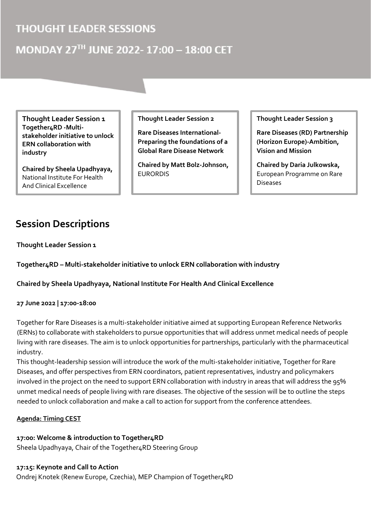### **THOUGHT LEADER SESSIONS**

## MONDAY 27TH JUNE 2022-17:00 - 18:00 CET

**Thought Leader Session 1 Together4RD -Multistakeholder initiative to unlock ERN collaboration with industry**

**Chaired by Sheela Upadhyaya,** National Institute For Health And Clinical Excellence

**Thought Leader Session 2** 

**Rare Diseases International-Preparing the foundations of a Global Rare Disease Network** 

**Chaired by Matt Bolz-Johnson,**  EURORDIS

**Thought Leader Session 3**

**Rare Diseases (RD) Partnership (Horizon Europe)-Ambition, Vision and Mission**

**Chaired by Daria Julkowska,**  European Programme on Rare Diseases

## **Session Descriptions**

**Thought Leader Session 1**

**Together4RD – Multi-stakeholder initiative to unlock ERN collaboration with industry**

**Chaired by Sheela Upadhyaya, National Institute For Health And Clinical Excellence**

**27 June 2022 | 17:00-18:00** 

Together for Rare Diseases is a multi-stakeholder initiative aimed at supporting European Reference Networks (ERNs) to collaborate with stakeholders to pursue opportunities that will address unmet medical needs of people living with rare diseases. The aim is to unlock opportunities for partnerships, particularly with the pharmaceutical industry.

This thought-leadership session will introduce the work of the multi-stakeholder initiative, Together for Rare Diseases, and offer perspectives from ERN coordinators, patient representatives, industry and policymakers involved in the project on the need to support ERN collaboration with industry in areas that will address the 95% unmet medical needs of people living with rare diseases. The objective of the session will be to outline the steps needed to unlock collaboration and make a call to action for support from the conference attendees.

#### **Agenda: Timing CEST**

#### **17:00: Welcome & introduction to Together4RD**

Sheela Upadhyaya, Chair of the Together4RD Steering Group

#### **17:15: Keynote and Call to Action**

Ondrej Knotek (Renew Europe, Czechia), MEP Champion of Together4RD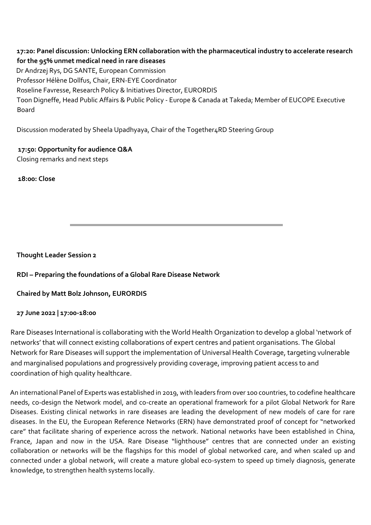**17:20: Panel discussion: Unlocking ERN collaboration with the pharmaceutical industry to accelerate research for the 95% unmet medical need in rare diseases** Dr Andrzej Rys, DG SANTE, European Commission Professor Hélène Dollfus, Chair, ERN-EYE Coordinator Roseline Favresse, Research Policy & Initiatives Director, EURORDIS Toon Digneffe, Head Public Affairs & Public Policy - Europe & Canada at Takeda; Member of EUCOPE Executive Board

Discussion moderated by Sheela Upadhyaya, Chair of the Together4RD Steering Group

#### **17:50: Opportunity for audience Q&A**

Closing remarks and next steps

 **18:00: Close** 

**Thought Leader Session 2**

**RDI – Preparing the foundations of a Global Rare Disease Network**

**Chaired by Matt Bolz Johnson, EURORDIS**

#### **27 June 2022 | 17:00-18:00**

Rare Diseases International is collaborating with the World Health Organization to develop a global 'network of networks' that will connect existing collaborations of expert centres and patient organisations. The Global Network for Rare Diseases will support the implementation of Universal Health Coverage, targeting vulnerable and marginalised populations and progressively providing coverage, improving patient access to and coordination of high quality healthcare.

An international Panel of Experts was established in 2019, with leaders from over 100 countries, to codefine healthcare needs, co-design the Network model, and co-create an operational framework for a pilot Global Network for Rare Diseases. Existing clinical networks in rare diseases are leading the development of new models of care for rare diseases. In the EU, the European Reference Networks (ERN) have demonstrated proof of concept for "networked care" that facilitate sharing of experience across the network. National networks have been established in China, France, Japan and now in the USA. Rare Disease "lighthouse" centres that are connected under an existing collaboration or networks will be the flagships for this model of global networked care, and when scaled up and connected under a global network, will create a mature global eco-system to speed up timely diagnosis, generate knowledge, to strengthen health systems locally.